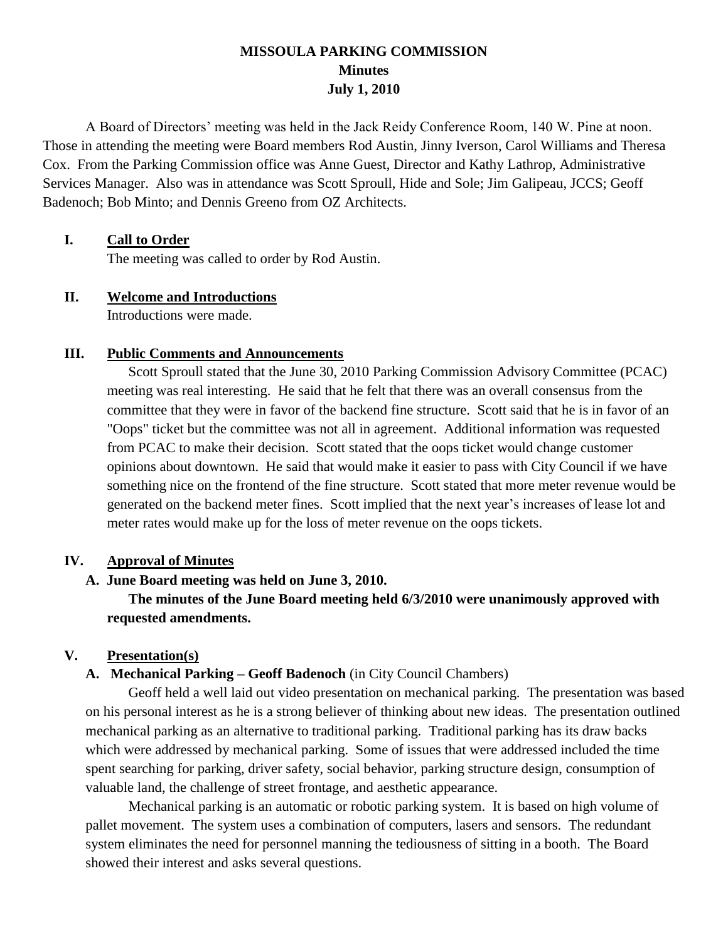# **MISSOULA PARKING COMMISSION Minutes July 1, 2010**

A Board of Directors' meeting was held in the Jack Reidy Conference Room, 140 W. Pine at noon. Those in attending the meeting were Board members Rod Austin, Jinny Iverson, Carol Williams and Theresa Cox. From the Parking Commission office was Anne Guest, Director and Kathy Lathrop, Administrative Services Manager. Also was in attendance was Scott Sproull, Hide and Sole; Jim Galipeau, JCCS; Geoff Badenoch; Bob Minto; and Dennis Greeno from OZ Architects.

## **I. Call to Order**

The meeting was called to order by Rod Austin.

### **II. Welcome and Introductions**

Introductions were made.

### **III. Public Comments and Announcements**

Scott Sproull stated that the June 30, 2010 Parking Commission Advisory Committee (PCAC) meeting was real interesting. He said that he felt that there was an overall consensus from the committee that they were in favor of the backend fine structure. Scott said that he is in favor of an "Oops" ticket but the committee was not all in agreement. Additional information was requested from PCAC to make their decision. Scott stated that the oops ticket would change customer opinions about downtown. He said that would make it easier to pass with City Council if we have something nice on the frontend of the fine structure. Scott stated that more meter revenue would be generated on the backend meter fines. Scott implied that the next year's increases of lease lot and meter rates would make up for the loss of meter revenue on the oops tickets.

### **IV. Approval of Minutes**

# **A. June Board meeting was held on June 3, 2010.**

**The minutes of the June Board meeting held 6/3/2010 were unanimously approved with requested amendments.**

### **V. Presentation(s)**

# **A. Mechanical Parking – Geoff Badenoch** (in City Council Chambers)

Geoff held a well laid out video presentation on mechanical parking. The presentation was based on his personal interest as he is a strong believer of thinking about new ideas. The presentation outlined mechanical parking as an alternative to traditional parking. Traditional parking has its draw backs which were addressed by mechanical parking. Some of issues that were addressed included the time spent searching for parking, driver safety, social behavior, parking structure design, consumption of valuable land, the challenge of street frontage, and aesthetic appearance.

Mechanical parking is an automatic or robotic parking system. It is based on high volume of pallet movement. The system uses a combination of computers, lasers and sensors. The redundant system eliminates the need for personnel manning the tediousness of sitting in a booth. The Board showed their interest and asks several questions.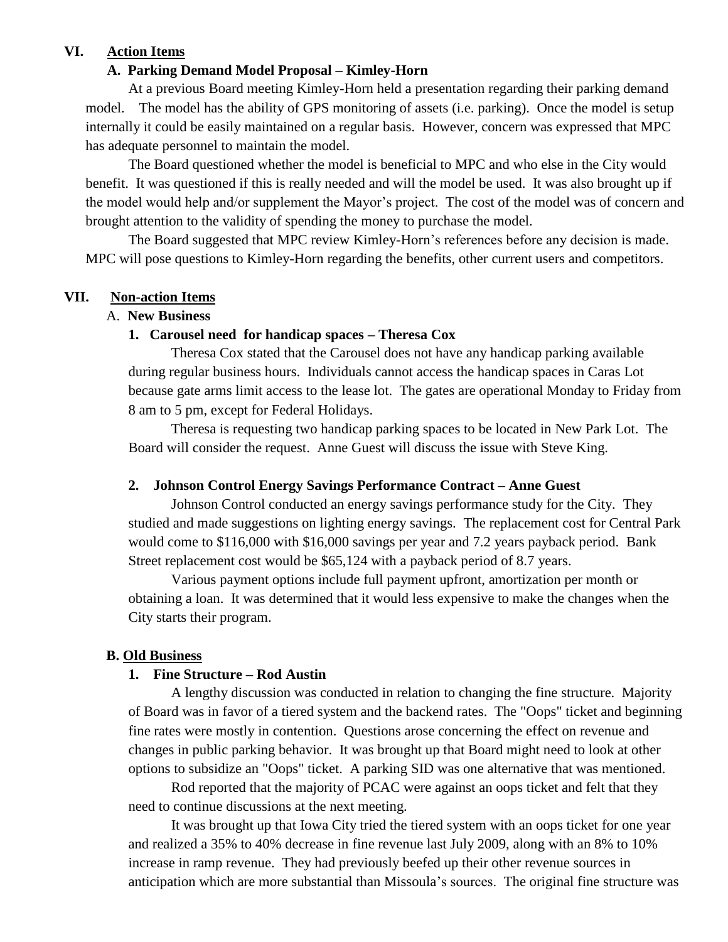## **VI. Action Items**

### **A. Parking Demand Model Proposal – Kimley-Horn**

At a previous Board meeting Kimley-Horn held a presentation regarding their parking demand model. The model has the ability of GPS monitoring of assets (i.e. parking). Once the model is setup internally it could be easily maintained on a regular basis. However, concern was expressed that MPC has adequate personnel to maintain the model.

The Board questioned whether the model is beneficial to MPC and who else in the City would benefit. It was questioned if this is really needed and will the model be used. It was also brought up if the model would help and/or supplement the Mayor's project. The cost of the model was of concern and brought attention to the validity of spending the money to purchase the model.

The Board suggested that MPC review Kimley-Horn's references before any decision is made. MPC will pose questions to Kimley-Horn regarding the benefits, other current users and competitors.

### **VII. Non-action Items**

## A. **New Business**

### **1. Carousel need for handicap spaces – Theresa Cox**

Theresa Cox stated that the Carousel does not have any handicap parking available during regular business hours. Individuals cannot access the handicap spaces in Caras Lot because gate arms limit access to the lease lot. The gates are operational Monday to Friday from 8 am to 5 pm, except for Federal Holidays.

Theresa is requesting two handicap parking spaces to be located in New Park Lot. The Board will consider the request. Anne Guest will discuss the issue with Steve King.

## **2. Johnson Control Energy Savings Performance Contract – Anne Guest**

Johnson Control conducted an energy savings performance study for the City. They studied and made suggestions on lighting energy savings. The replacement cost for Central Park would come to \$116,000 with \$16,000 savings per year and 7.2 years payback period. Bank Street replacement cost would be \$65,124 with a payback period of 8.7 years.

Various payment options include full payment upfront, amortization per month or obtaining a loan. It was determined that it would less expensive to make the changes when the City starts their program.

### **B. Old Business**

### **1. Fine Structure – Rod Austin**

A lengthy discussion was conducted in relation to changing the fine structure. Majority of Board was in favor of a tiered system and the backend rates. The "Oops" ticket and beginning fine rates were mostly in contention. Questions arose concerning the effect on revenue and changes in public parking behavior. It was brought up that Board might need to look at other options to subsidize an "Oops" ticket. A parking SID was one alternative that was mentioned.

Rod reported that the majority of PCAC were against an oops ticket and felt that they need to continue discussions at the next meeting.

It was brought up that Iowa City tried the tiered system with an oops ticket for one year and realized a 35% to 40% decrease in fine revenue last July 2009, along with an 8% to 10% increase in ramp revenue. They had previously beefed up their other revenue sources in anticipation which are more substantial than Missoula's sources. The original fine structure was